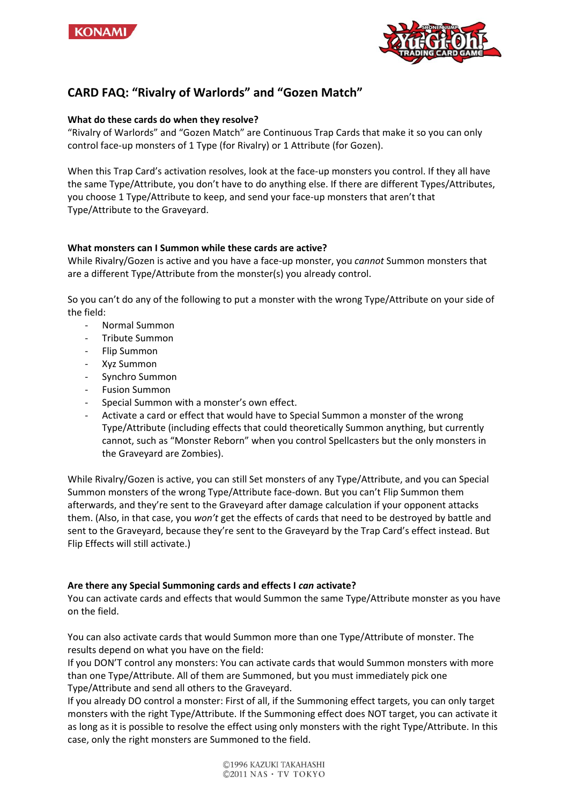



# **CARD FAQ: "Rivalry of Warlords" and "Gozen Match"**

## **What do these cards do when they resolve?**

"Rivalry of Warlords" and "Gozen Match" are Continuous Trap Cards that make it so you can only control face-up monsters of 1 Type (for Rivalry) or 1 Attribute (for Gozen).

When this Trap Card's activation resolves, look at the face-up monsters you control. If they all have the same Type/Attribute, you don't have to do anything else. If there are different Types/Attributes, you choose 1 Type/Attribute to keep, and send your face-up monsters that aren't that Type/Attribute to the Graveyard.

## **What monsters can I Summon while these cards are active?**

While Rivalry/Gozen is active and you have a face-up monster, you *cannot* Summon monsters that are a different Type/Attribute from the monster(s) you already control.

So you can't do any of the following to put a monster with the wrong Type/Attribute on your side of the field:

- Normal Summon
- Tribute Summon
- Flip Summon
- Xyz Summon
- Synchro Summon
- Fusion Summon
- Special Summon with a monster's own effect.
- Activate a card or effect that would have to Special Summon a monster of the wrong Type/Attribute (including effects that could theoretically Summon anything, but currently cannot, such as "Monster Reborn" when you control Spellcasters but the only monsters in the Graveyard are Zombies).

While Rivalry/Gozen is active, you can still Set monsters of any Type/Attribute, and you can Special Summon monsters of the wrong Type/Attribute face-down. But you can't Flip Summon them afterwards, and they're sent to the Graveyard after damage calculation if your opponent attacks them. (Also, in that case, you *won't* get the effects of cards that need to be destroyed by battle and sent to the Graveyard, because they're sent to the Graveyard by the Trap Card's effect instead. But Flip Effects will still activate.)

#### **Are there any Special Summoning cards and effects I** *can* **activate?**

You can activate cards and effects that would Summon the same Type/Attribute monster as you have on the field.

You can also activate cards that would Summon more than one Type/Attribute of monster. The results depend on what you have on the field:

If you DON'T control any monsters: You can activate cards that would Summon monsters with more than one Type/Attribute. All of them are Summoned, but you must immediately pick one Type/Attribute and send all others to the Graveyard.

If you already DO control a monster: First of all, if the Summoning effect targets, you can only target monsters with the right Type/Attribute. If the Summoning effect does NOT target, you can activate it as long as it is possible to resolve the effect using only monsters with the right Type/Attribute. In this case, only the right monsters are Summoned to the field.